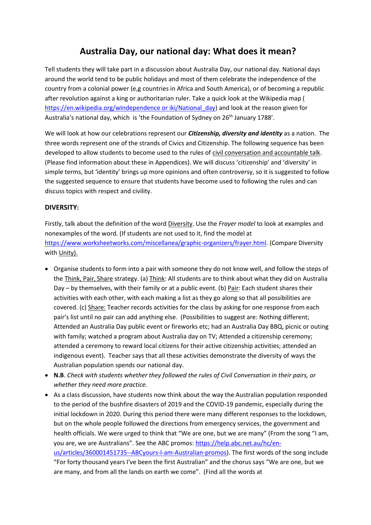# **Australia Day, our national day: What does it mean?**

Tell students they will take part in a discussion about Australia Day, our national day. National days around the world tend to be public holidays and most of them celebrate the independence of the country from a colonial power (e,g countries in Africa and South America), or of becoming a republic after revolution against a king or authoritarian ruler. Take a quick look at the Wikipedia map ( [https://en.wikipedia.org/wIndependence or iki/National\\_day\)](https://en.wikipedia.org/wIndependence%20or%20iki/National_day) and look at the reason given for Australia's national day, which is 'the Foundation of Sydney on 26th January 1788'.

We will look at how our celebrations represent our *Citizenship, diversity and identity* as a nation. The three words represent one of the strands of Civics and Citizenship. The following sequence has been developed to allow students to become used to the rules of civil conversation and accountable talk. (Please find information about these in Appendices). We will discuss 'citizenship' and 'diversity' in simple terms, but 'identity' brings up more opinions and often controversy, so it is suggested to follow the suggested sequence to ensure that students have become used to following the rules and can discuss topics with respect and civility.

### **DIVERSITY:**

Firstly, talk about the definition of the word Diversity. Use the *Frayer model* to look at examples and nonexamples of the word. (If students are not used to it, find the model at [https://www.worksheetworks.com/miscellanea/graphic-organizers/frayer.html.](https://www.worksheetworks.com/miscellanea/graphic-organizers/frayer.html) (Compare Diversity with Unity).

- Organise students to form into a pair with someone they do not know well, and follow the steps of the Think, Pair, Share strategy. (a) Think: All students are to think about what they did on Australia Day – by themselves, with their family or at a public event. (b) Pair: Each student shares their activities with each other, with each making a list as they go along so that all possibilities are covered. (c) Share: Teacher records activities for the class by asking for one response from each pair's list until no pair can add anything else. (Possibilities to suggest are: Nothing different; Attended an Australia Day public event or fireworks etc; had an Australia Day BBQ, picnic or outing with family; watched a program about Australia day on TV; Attended a citizenship ceremony; attended a ceremony to reward local citizens for their active citizenship activities; attended an indigenous event). Teacher says that all these activities demonstrate the diversity of ways the Australian population spends our national day.
- **N.B**. *Check with students whether they followed the rules of Civil Conversation in their pairs, or whether they need more practice.*
- As a class discussion, have students now think about the way the Australian population responded to the period of the bushfire disasters of 2019 and the COVID-19 pandemic, especially during the initial lockdown in 2020. During this period there were many different responses to the lockdown, but on the whole people followed the directions from emergency services, the government and health officials. We were urged to think that "We are one, but we are many" (From the song "I am, you are, we are Australians". See the ABC promos: [https://help.abc.net.au/hc/en](https://help.abc.net.au/hc/en-us/articles/360001451735--ABCyours-I-am-Australian-promos)[us/articles/360001451735--ABCyours-I-am-Australian-promos\)](https://help.abc.net.au/hc/en-us/articles/360001451735--ABCyours-I-am-Australian-promos). The first words of the song include "For forty thousand years I've been the first Australian" and the chorus says "We are one, but we are many, and from all the lands on earth we come". (Find all the words at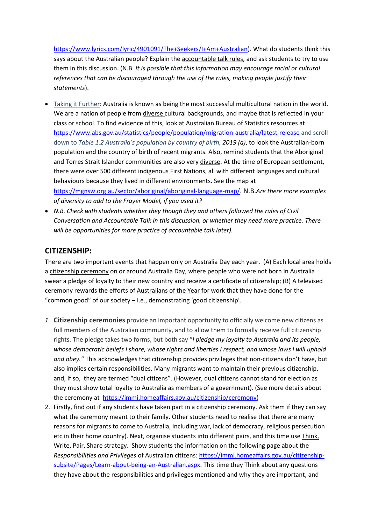[https://www.lyrics.com/lyric/4901091/The+Seekers/I+Am+Australian\)](https://www.lyrics.com/lyric/4901091/The+Seekers/I+Am+Australian). What do students think this says about the Australian people? Explain the accountable talk rules, and ask students to try to use them in this discussion. (N.B. *It is possible that this information may encourage racial or cultural references that can be discouraged through the use of the rules, making people justify their statements*).

 Taking it Further: Australia is known as being the most successful multicultural nation in the world. We are a nation of people from diverse cultural backgrounds, and maybe that is reflected in your class or school. To find evidence of this, look at Australian Bureau of Statistics resources at <https://www.abs.gov.au/statistics/people/population/migration-australia/latest-release> and scroll down to *Table 1.2 Australia's population by country of birth, 2019 (a)*, to look the Australian-born population and the country of birth of recent migrants. Also, remind students that the Aboriginal and Torres Strait Islander communities are also very diverse. At the time of European settlement, there were over 500 different indigenous First Nations, all with different languages and cultural behaviours because they lived in different environments. See the map at

<https://mgnsw.org.au/sector/aboriginal/aboriginal-language-map/>. N.B.*Are there more examples of diversity to add to the Frayer Model, if you used it?*

 *N.B. Check with students whether they though they and others followed the rules of Civil Conversation and Accountable Talk in this discussion, or whether they need more practice. There will be opportunities for more practice of accountable talk later).* 

### **CITIZENSHIP:**

There are two important events that happen only on Australia Day each year. (A) Each local area holds a citizenship ceremony on or around Australia Day, where people who were not born in Australia swear a pledge of loyalty to their new country and receive a certificate of citizenship; (B) A televised ceremony rewards the efforts of Australians of the Year for work that they have done for the "common good" of our society – i.e., demonstrating 'good citizenship'.

- *1.* **Citizenship ceremonies** provide an important opportunity to officially welcome new citizens as full members of the Australian community, and to allow them to formally receive full citizenship rights. The pledge takes two forms, but both say "*I pledge my loyalty to Australia and its people, whose democratic beliefs I share, whose rights and liberties I respect, and whose laws I will uphold and obey."* This acknowledges that citizenship provides privileges that non-citizens don't have, but also implies certain responsibilities. Many migrants want to maintain their previous citizenship, and, if so, they are termed "dual citizens". (However, dual citizens cannot stand for election as they must show total loyalty to Australia as members of a government). (See more details about the ceremony at [https://immi.homeaffairs.gov.au/citizenship/ceremony\)](https://immi.homeaffairs.gov.au/citizenship/ceremony)
- 2. Firstly, find out if any students have taken part in a citizenship ceremony. Ask them if they can say what the ceremony meant to their family. Other students need to realise that there are many reasons for migrants to come to Australia, including war, lack of democracy, religious persecution etc in their home country). Next, organise students into different pairs, and this time use Think, Write, Pair, Share strategy. Show students the information on the following page about the *Responsibilities and Privileges* of Australian citizens[: https://immi.homeaffairs.gov.au/citizenship](https://immi.homeaffairs.gov.au/citizenship-subsite/Pages/Learn-about-being-an-Australian.aspx)[subsite/Pages/Learn-about-being-an-Australian.aspx.](https://immi.homeaffairs.gov.au/citizenship-subsite/Pages/Learn-about-being-an-Australian.aspx) This time they Think about any questions they have about the responsibilities and privileges mentioned and why they are important, and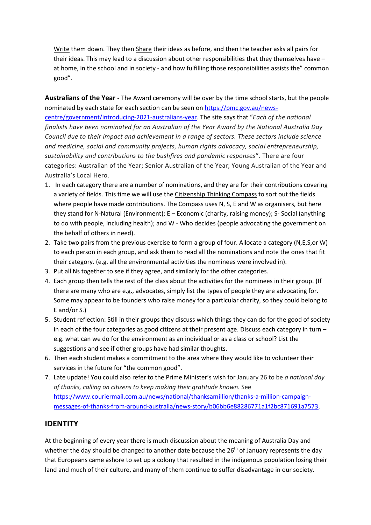Write them down. They then Share their ideas as before, and then the teacher asks all pairs for their ideas. This may lead to a discussion about other responsibilities that they themselves have – at home, in the school and in society - and how fulfilling those responsibilities assists the" common good".

**Australians of the Year -** The Award ceremony will be over by the time school starts, but the people nominated by each state for each section can be seen o[n https://pmc.gov.au/news-](https://pmc.gov.au/news-centre/government/introducing-2021-australians-year)

[centre/government/introducing-2021-australians-year.](https://pmc.gov.au/news-centre/government/introducing-2021-australians-year) The site says that "*Each of the national finalists have been nominated for an Australian of the Year Award by the National Australia Day Council due to their impact and achievement in a range of sectors. These sectors include science and medicine, social and community projects, human rights advocacy, social entrepreneurship, sustainability and contributions to the bushfires and pandemic responses*". There are four categories: Australian of the Year; Senior Australian of the Year; Young Australian of the Year and Australia's Local Hero.

- 1. In each category there are a number of nominations, and they are for their contributions covering a variety of fields. This time we will use the Citizenship Thinking Compass to sort out the fields where people have made contributions. The Compass uses N, S, E and W as organisers, but here they stand for N-Natural (Environment); E – Economic (charity, raising money); S- Social (anything to do with people, including health); and W - Who decides (people advocating the government on the behalf of others in need).
- 2. Take two pairs from the previous exercise to form a group of four. Allocate a category (N,E,S,or W) to each person in each group, and ask them to read all the nominations and note the ones that fit their category. (e.g. all the environmental activities the nominees were involved in).
- 3. Put all Ns together to see if they agree, and similarly for the other categories.
- 4. Each group then tells the rest of the class about the activities for the nominees in their group. (If there are many who are e.g., advocates, simply list the types of people they are advocating for. Some may appear to be founders who raise money for a particular charity, so they could belong to E and/or S.)
- 5. Student reflection: Still in their groups they discuss which things they can do for the good of society in each of the four categories as good citizens at their present age. Discuss each category in turn – e.g. what can we do for the environment as an individual or as a class or school? List the suggestions and see if other groups have had similar thoughts.
- 6. Then each student makes a commitment to the area where they would like to volunteer their services in the future for "the common good".
- 7. Late update! You could also refer to the Prime Minister's wish for January 26 to be *a national day of thanks, calling on citizens to keep making their gratitude known.* See [https://www.couriermail.com.au/news/national/thanksamillion/thanks-a-million-campaign](https://www.couriermail.com.au/news/national/thanksamillion/thanks-a-million-campaign-messages-of-thanks-from-around-australia/news-story/b06bb6e88286771a1f2bc871691a7573)[messages-of-thanks-from-around-australia/news-story/b06bb6e88286771a1f2bc871691a7573.](https://www.couriermail.com.au/news/national/thanksamillion/thanks-a-million-campaign-messages-of-thanks-from-around-australia/news-story/b06bb6e88286771a1f2bc871691a7573)

## **IDENTITY**

At the beginning of every year there is much discussion about the meaning of Australia Day and whether the day should be changed to another date because the  $26<sup>th</sup>$  of January represents the day that Europeans came ashore to set up a colony that resulted in the indigenous population losing their land and much of their culture, and many of them continue to suffer disadvantage in our society.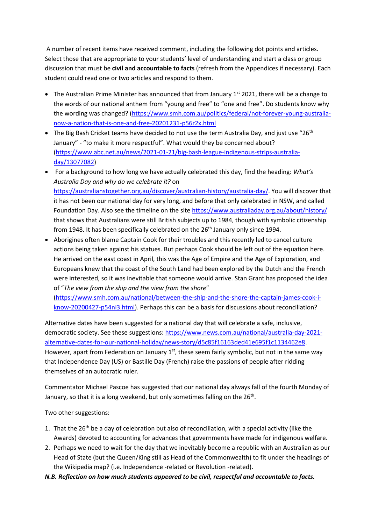A number of recent items have received comment, including the following dot points and articles. Select those that are appropriate to your students' level of understanding and start a class or group discussion that must be **civil and accountable to facts** (refresh from the Appendices if necessary). Each student could read one or two articles and respond to them.

- $\bullet$  The Australian Prime Minister has announced that from January 1st 2021, there will be a change to the words of our national anthem from "young and free" to "one and free". Do students know why the wording was changed? [\(https://www.smh.com.au/politics/federal/not-forever-young-australia](https://www.smh.com.au/politics/federal/not-forever-young-australia-now-a-nation-that-is-one-and-free-20201231-p56r2x.html)[now-a-nation-that-is-one-and-free-20201231-p56r2x.html](https://www.smh.com.au/politics/federal/not-forever-young-australia-now-a-nation-that-is-one-and-free-20201231-p56r2x.html)
- The Big Bash Cricket teams have decided to not use the term Australia Day, and just use "26<sup>th</sup> January" - "to make it more respectful". What would they be concerned about? [\(https://www.abc.net.au/news/2021-01-21/big-bash-league-indigenous-strips-australia](https://www.abc.net.au/news/2021-01-21/big-bash-league-indigenous-strips-australia-day/13077082)[day/13077082\)](https://www.abc.net.au/news/2021-01-21/big-bash-league-indigenous-strips-australia-day/13077082)
- For a background to how long we have actually celebrated this day, find the heading: *What's Australia Day and why do we celebrate it?* on [https://australianstogether.org.au/discover/australian-history/australia-day/.](https://australianstogether.org.au/discover/australian-history/australia-day/) You will discover that it has not been our national day for very long, and before that only celebrated in NSW, and called Foundation Day. Also see the timeline on the site<https://www.australiaday.org.au/about/history/> that shows that Australians were still British subjects up to 1984, though with symbolic citizenship from 1948. It has been specifically celebrated on the 26<sup>th</sup> January only since 1994.
- Aborigines often blame Captain Cook for their troubles and this recently led to cancel culture actions being taken against his statues. But perhaps Cook should be left out of the equation here. He arrived on the east coast in April, this was the Age of Empire and the Age of Exploration, and Europeans knew that the coast of the South Land had been explored by the Dutch and the French were interested, so it was inevitable that someone would arrive. Stan Grant has proposed the idea of "*The view from the ship and the view from the shore*"

[\(https://www.smh.com.au/national/between-the-ship-and-the-shore-the-captain-james-cook-i](https://www.smh.com.au/national/between-the-ship-and-the-shore-the-captain-james-cook-i-know-20200427-p54ni3.html)[know-20200427-p54ni3.html\)](https://www.smh.com.au/national/between-the-ship-and-the-shore-the-captain-james-cook-i-know-20200427-p54ni3.html). Perhaps this can be a basis for discussions about reconciliation?

Alternative dates have been suggested for a national day that will celebrate a safe, inclusive, democratic society. See these suggestions: [https://www.news.com.au/national/australia-day-2021](https://www.news.com.au/national/australia-day-2021-alternative-dates-for-our-national-holiday/news-story/d5c85f16163ded41e695f1c1134462e8) [alternative-dates-for-our-national-holiday/news-story/d5c85f16163ded41e695f1c1134462e8.](https://www.news.com.au/national/australia-day-2021-alternative-dates-for-our-national-holiday/news-story/d5c85f16163ded41e695f1c1134462e8) However, apart from Federation on January  $1<sup>st</sup>$ , these seem fairly symbolic, but not in the same way that Independence Day (US) or Bastille Day (French) raise the passions of people after ridding themselves of an autocratic ruler.

Commentator Michael Pascoe has suggested that our national day always fall of the fourth Monday of January, so that it is a long weekend, but only sometimes falling on the 26<sup>th</sup>.

Two other suggestions:

- 1. That the 26<sup>th</sup> be a day of celebration but also of reconciliation, with a special activity (like the Awards) devoted to accounting for advances that governments have made for indigenous welfare.
- 2. Perhaps we need to wait for the day that we inevitably become a republic with an Australian as our Head of State (but the Queen/King still as Head of the Commonwealth) to fit under the headings of the Wikipedia map? (i.e. Independence -related or Revolution -related).

*N.B. Reflection on how much students appeared to be civil, respectful and accountable to facts.*